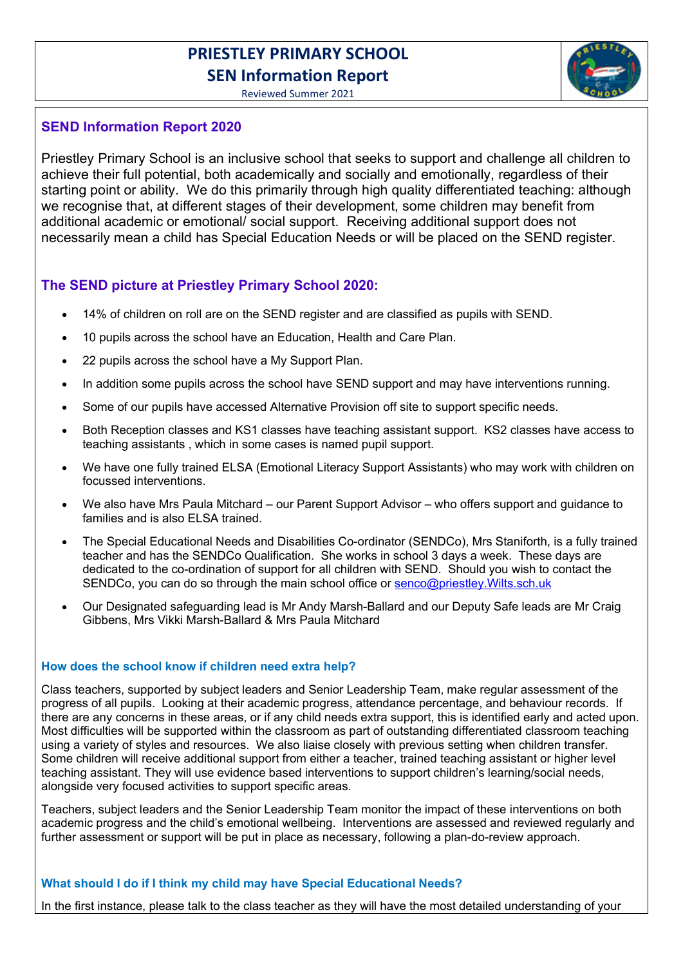# PRIESTLEY PRIMARY SCHOOL SEN Information Report

Reviewed Summer 2021

# SEND Information Report 2020

Priestley Primary School is an inclusive school that seeks to support and challenge all children to achieve their full potential, both academically and socially and emotionally, regardless of their starting point or ability. We do this primarily through high quality differentiated teaching: although we recognise that, at different stages of their development, some children may benefit from additional academic or emotional/ social support. Receiving additional support does not necessarily mean a child has Special Education Needs or will be placed on the SEND register.

# The SEND picture at Priestley Primary School 2020:

- 14% of children on roll are on the SEND register and are classified as pupils with SEND.
- 10 pupils across the school have an Education, Health and Care Plan.
- 22 pupils across the school have a My Support Plan.
- In addition some pupils across the school have SEND support and may have interventions running.
- Some of our pupils have accessed Alternative Provision off site to support specific needs.
- Both Reception classes and KS1 classes have teaching assistant support. KS2 classes have access to teaching assistants , which in some cases is named pupil support.
- We have one fully trained ELSA (Emotional Literacy Support Assistants) who may work with children on focussed interventions.
- We also have Mrs Paula Mitchard our Parent Support Advisor who offers support and guidance to families and is also ELSA trained.
- The Special Educational Needs and Disabilities Co-ordinator (SENDCo), Mrs Staniforth, is a fully trained teacher and has the SENDCo Qualification. She works in school 3 days a week. These days are dedicated to the co-ordination of support for all children with SEND. Should you wish to contact the SENDCo, you can do so through the main school office or senco@priestley. Wilts.sch.uk
- Our Designated safeguarding lead is Mr Andy Marsh-Ballard and our Deputy Safe leads are Mr Craig Gibbens, Mrs Vikki Marsh-Ballard & Mrs Paula Mitchard

# How does the school know if children need extra help?

Class teachers, supported by subject leaders and Senior Leadership Team, make regular assessment of the progress of all pupils. Looking at their academic progress, attendance percentage, and behaviour records. If there are any concerns in these areas, or if any child needs extra support, this is identified early and acted upon. Most difficulties will be supported within the classroom as part of outstanding differentiated classroom teaching using a variety of styles and resources. We also liaise closely with previous setting when children transfer. Some children will receive additional support from either a teacher, trained teaching assistant or higher level teaching assistant. They will use evidence based interventions to support children's learning/social needs, alongside very focused activities to support specific areas.

Teachers, subject leaders and the Senior Leadership Team monitor the impact of these interventions on both academic progress and the child's emotional wellbeing. Interventions are assessed and reviewed regularly and further assessment or support will be put in place as necessary, following a plan-do-review approach.

#### What should I do if I think my child may have Special Educational Needs?

In the first instance, please talk to the class teacher as they will have the most detailed understanding of your

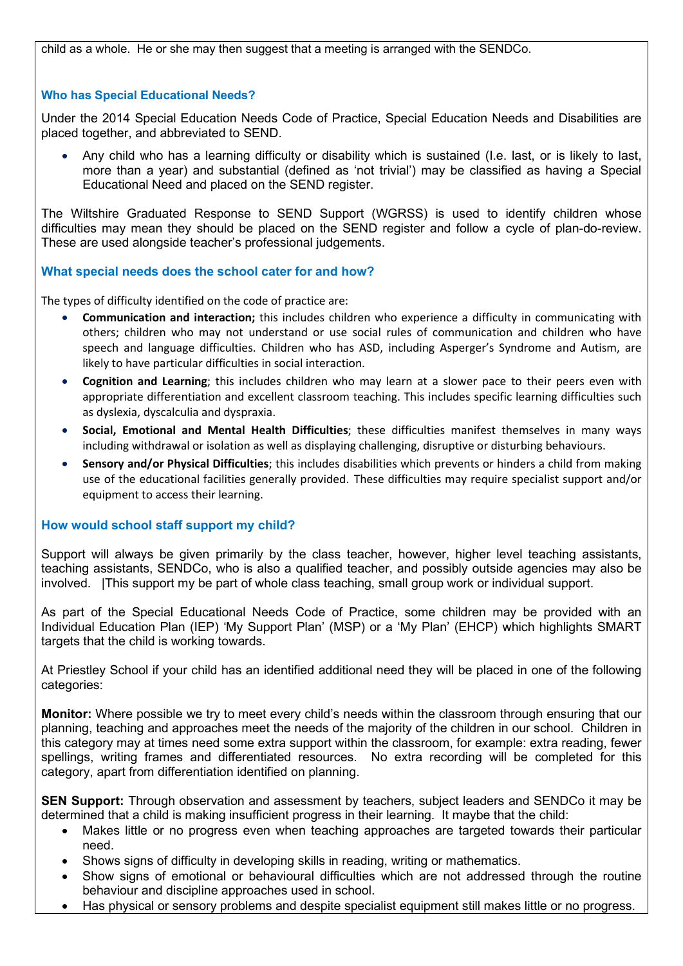child as a whole. He or she may then suggest that a meeting is arranged with the SENDCo.

#### Who has Special Educational Needs?

Under the 2014 Special Education Needs Code of Practice, Special Education Needs and Disabilities are placed together, and abbreviated to SEND.

 Any child who has a learning difficulty or disability which is sustained (I.e. last, or is likely to last, more than a year) and substantial (defined as 'not trivial') may be classified as having a Special Educational Need and placed on the SEND register.

The Wiltshire Graduated Response to SEND Support (WGRSS) is used to identify children whose difficulties may mean they should be placed on the SEND register and follow a cycle of plan-do-review. These are used alongside teacher's professional judgements.

#### What special needs does the school cater for and how?

The types of difficulty identified on the code of practice are:

- Communication and interaction; this includes children who experience a difficulty in communicating with others; children who may not understand or use social rules of communication and children who have speech and language difficulties. Children who has ASD, including Asperger's Syndrome and Autism, are likely to have particular difficulties in social interaction.
- Cognition and Learning; this includes children who may learn at a slower pace to their peers even with appropriate differentiation and excellent classroom teaching. This includes specific learning difficulties such as dyslexia, dyscalculia and dyspraxia.
- Social, Emotional and Mental Health Difficulties; these difficulties manifest themselves in many ways including withdrawal or isolation as well as displaying challenging, disruptive or disturbing behaviours.
- Sensory and/or Physical Difficulties; this includes disabilities which prevents or hinders a child from making use of the educational facilities generally provided. These difficulties may require specialist support and/or equipment to access their learning.

#### How would school staff support my child?

Support will always be given primarily by the class teacher, however, higher level teaching assistants, teaching assistants, SENDCo, who is also a qualified teacher, and possibly outside agencies may also be involved. |This support my be part of whole class teaching, small group work or individual support.

As part of the Special Educational Needs Code of Practice, some children may be provided with an Individual Education Plan (IEP) 'My Support Plan' (MSP) or a 'My Plan' (EHCP) which highlights SMART targets that the child is working towards.

At Priestley School if your child has an identified additional need they will be placed in one of the following categories:

Monitor: Where possible we try to meet every child's needs within the classroom through ensuring that our planning, teaching and approaches meet the needs of the majority of the children in our school. Children in this category may at times need some extra support within the classroom, for example: extra reading, fewer spellings, writing frames and differentiated resources. No extra recording will be completed for this category, apart from differentiation identified on planning.

SEN Support: Through observation and assessment by teachers, subject leaders and SENDCo it may be determined that a child is making insufficient progress in their learning. It maybe that the child:

- Makes little or no progress even when teaching approaches are targeted towards their particular need.
- Shows signs of difficulty in developing skills in reading, writing or mathematics.
- Show signs of emotional or behavioural difficulties which are not addressed through the routine behaviour and discipline approaches used in school.
- Has physical or sensory problems and despite specialist equipment still makes little or no progress.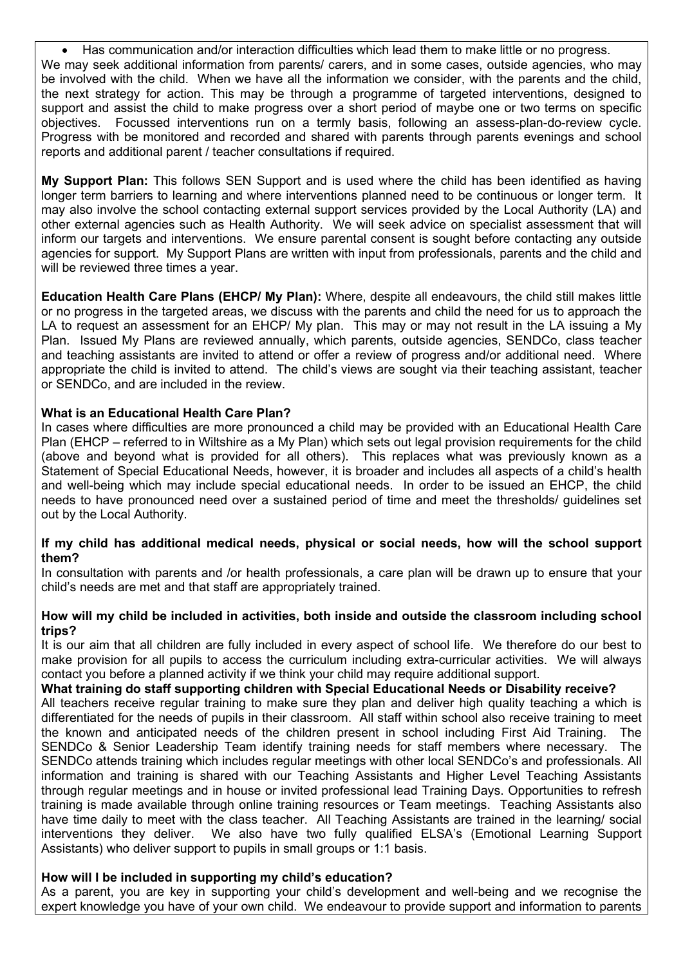Has communication and/or interaction difficulties which lead them to make little or no progress. We may seek additional information from parents/ carers, and in some cases, outside agencies, who may be involved with the child. When we have all the information we consider, with the parents and the child, the next strategy for action. This may be through a programme of targeted interventions, designed to support and assist the child to make progress over a short period of maybe one or two terms on specific objectives. Focussed interventions run on a termly basis, following an assess-plan-do-review cycle. Progress with be monitored and recorded and shared with parents through parents evenings and school reports and additional parent / teacher consultations if required.

My Support Plan: This follows SEN Support and is used where the child has been identified as having longer term barriers to learning and where interventions planned need to be continuous or longer term. It may also involve the school contacting external support services provided by the Local Authority (LA) and other external agencies such as Health Authority. We will seek advice on specialist assessment that will inform our targets and interventions. We ensure parental consent is sought before contacting any outside agencies for support. My Support Plans are written with input from professionals, parents and the child and will be reviewed three times a year.

Education Health Care Plans (EHCP/ My Plan): Where, despite all endeavours, the child still makes little or no progress in the targeted areas, we discuss with the parents and child the need for us to approach the LA to request an assessment for an EHCP/ My plan. This may or may not result in the LA issuing a My Plan. Issued My Plans are reviewed annually, which parents, outside agencies, SENDCo, class teacher and teaching assistants are invited to attend or offer a review of progress and/or additional need. Where appropriate the child is invited to attend. The child's views are sought via their teaching assistant, teacher or SENDCo, and are included in the review.

## What is an Educational Health Care Plan?

In cases where difficulties are more pronounced a child may be provided with an Educational Health Care Plan (EHCP – referred to in Wiltshire as a My Plan) which sets out legal provision requirements for the child (above and beyond what is provided for all others). This replaces what was previously known as a Statement of Special Educational Needs, however, it is broader and includes all aspects of a child's health and well-being which may include special educational needs. In order to be issued an EHCP, the child needs to have pronounced need over a sustained period of time and meet the thresholds/ guidelines set out by the Local Authority.

#### If my child has additional medical needs, physical or social needs, how will the school support them?

In consultation with parents and /or health professionals, a care plan will be drawn up to ensure that your child's needs are met and that staff are appropriately trained.

#### How will my child be included in activities, both inside and outside the classroom including school trips?

It is our aim that all children are fully included in every aspect of school life. We therefore do our best to make provision for all pupils to access the curriculum including extra-curricular activities. We will always contact you before a planned activity if we think your child may require additional support.

#### What training do staff supporting children with Special Educational Needs or Disability receive?

All teachers receive regular training to make sure they plan and deliver high quality teaching a which is differentiated for the needs of pupils in their classroom. All staff within school also receive training to meet the known and anticipated needs of the children present in school including First Aid Training. The SENDCo & Senior Leadership Team identify training needs for staff members where necessary. The SENDCo attends training which includes regular meetings with other local SENDCo's and professionals. All information and training is shared with our Teaching Assistants and Higher Level Teaching Assistants through regular meetings and in house or invited professional lead Training Days. Opportunities to refresh training is made available through online training resources or Team meetings. Teaching Assistants also have time daily to meet with the class teacher. All Teaching Assistants are trained in the learning/ social interventions they deliver. We also have two fully qualified ELSA's (Emotional Learning Support Assistants) who deliver support to pupils in small groups or 1:1 basis.

#### How will I be included in supporting my child's education?

As a parent, you are key in supporting your child's development and well-being and we recognise the expert knowledge you have of your own child. We endeavour to provide support and information to parents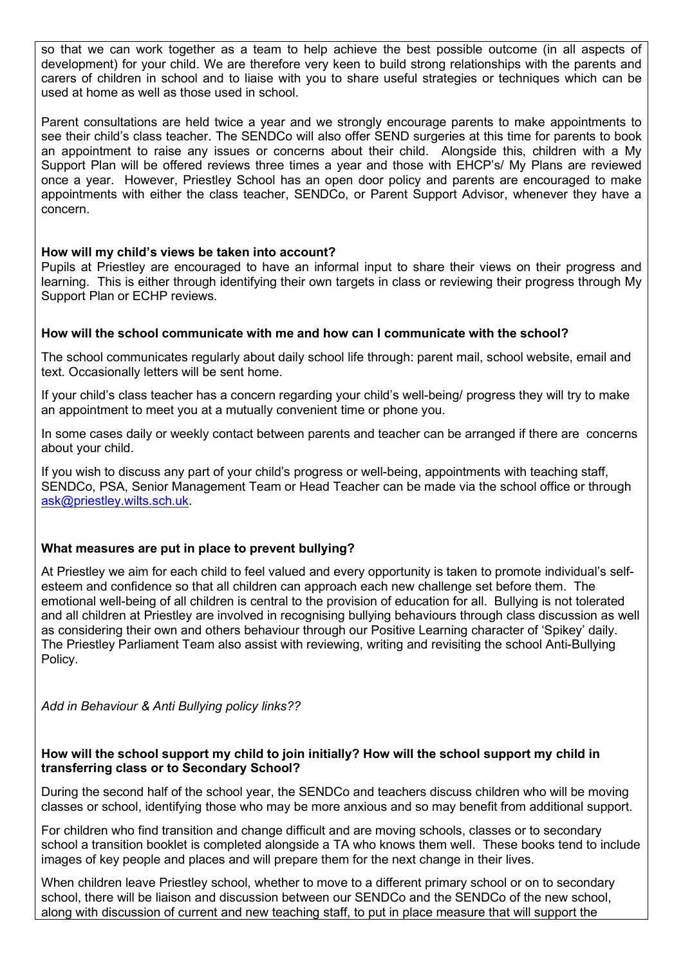so that we can work together as a team to help achieve the best possible outcome (in all aspects of development) for your child. We are therefore very keen to build strong relationships with the parents and carers of children in school and to liaise with you to share useful strategies or techniques which can be used at home as well as those used in school.

Parent consultations are held twice a year and we strongly encourage parents to make appointments to see their child's class teacher. The SENDCo will also offer SEND surgeries at this time for parents to book an appointment to raise any issues or concerns about their child. Alongside this, children with a My Support Plan will be offered reviews three times a year and those with EHCP's/ My Plans are reviewed once a year. However, Priestley School has an open door policy and parents are encouraged to make appointments with either the class teacher, SENDCo, or Parent Support Advisor, whenever they have a concern.

## How will my child's views be taken into account?

Pupils at Priestley are encouraged to have an informal input to share their views on their progress and learning. This is either through identifying their own targets in class or reviewing their progress through My Support Plan or ECHP reviews.

## How will the school communicate with me and how can I communicate with the school?

The school communicates regularly about daily school life through: parent mail, school website, email and text. Occasionally letters will be sent home.

If your child's class teacher has a concern regarding your child's well-being/ progress they will try to make an appointment to meet you at a mutually convenient time or phone you.

In some cases daily or weekly contact between parents and teacher can be arranged if there are concerns about your child.

If you wish to discuss any part of your child's progress or well-being, appointments with teaching staff, SENDCo, PSA, Senior Management Team or Head Teacher can be made via the school office or through ask@priestley.wilts.sch.uk.

# What measures are put in place to prevent bullying?

At Priestley we aim for each child to feel valued and every opportunity is taken to promote individual's selfesteem and confidence so that all children can approach each new challenge set before them. The emotional well-being of all children is central to the provision of education for all. Bullying is not tolerated and all children at Priestley are involved in recognising bullying behaviours through class discussion as well as considering their own and others behaviour through our Positive Learning character of 'Spikey' daily. The Priestley Parliament Team also assist with reviewing, writing and revisiting the school Anti-Bullying Policy.

Add in Behaviour & Anti Bullying policy links??

## How will the school support my child to join initially? How will the school support my child in transferring class or to Secondary School?

During the second half of the school year, the SENDCo and teachers discuss children who will be moving classes or school, identifying those who may be more anxious and so may benefit from additional support.

For children who find transition and change difficult and are moving schools, classes or to secondary school a transition booklet is completed alongside a TA who knows them well. These books tend to include images of key people and places and will prepare them for the next change in their lives.

When children leave Priestley school, whether to move to a different primary school or on to secondary school, there will be liaison and discussion between our SENDCo and the SENDCo of the new school, along with discussion of current and new teaching staff, to put in place measure that will support the